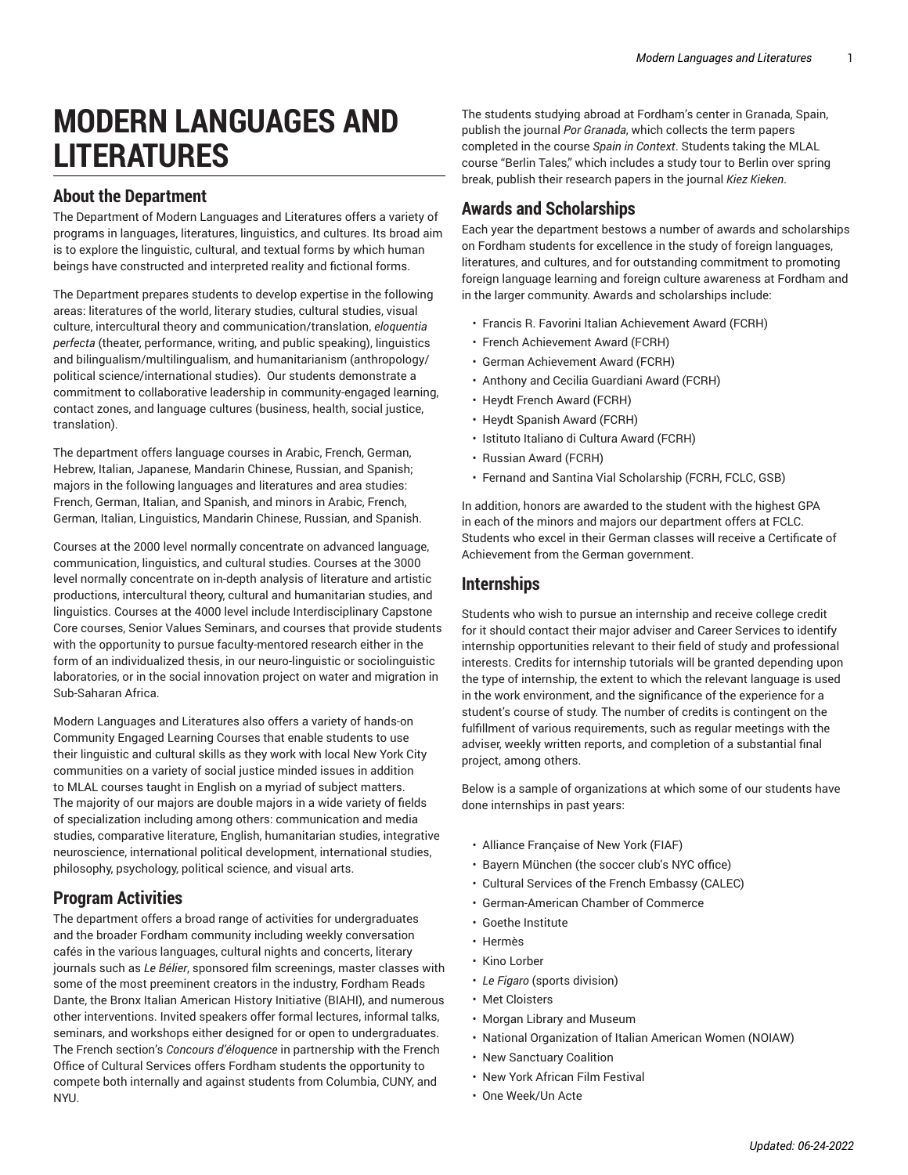# **MODERN LANGUAGES AND LITERATURES**

#### **About the Department**

The Department of Modern Languages and Literatures offers a variety of programs in languages, literatures, linguistics, and cultures. Its broad aim is to explore the linguistic, cultural, and textual forms by which human beings have constructed and interpreted reality and fictional forms.

The Department prepares students to develop expertise in the following areas: literatures of the world, literary studies, cultural studies, visual culture, intercultural theory and communication/translation, *eloquentia perfecta* (theater, performance, writing, and public speaking), linguistics and bilingualism/multilingualism, and humanitarianism (anthropology/ political science/international studies). Our students demonstrate a commitment to collaborative leadership in community-engaged learning, contact zones, and language cultures (business, health, social justice, translation).

The department offers language courses in Arabic, French, German, Hebrew, Italian, Japanese, Mandarin Chinese, Russian, and Spanish; majors in the following languages and literatures and area studies: French, German, Italian, and Spanish, and minors in Arabic, French, German, Italian, Linguistics, Mandarin Chinese, Russian, and Spanish.

Courses at the 2000 level normally concentrate on advanced language, communication, linguistics, and cultural studies. Courses at the 3000 level normally concentrate on in-depth analysis of literature and artistic productions, intercultural theory, cultural and humanitarian studies, and linguistics. Courses at the 4000 level include Interdisciplinary Capstone Core courses, Senior Values Seminars, and courses that provide students with the opportunity to pursue faculty-mentored research either in the form of an individualized thesis, in our neuro-linguistic or sociolinguistic laboratories, or in the social innovation project on water and migration in Sub-Saharan Africa.

Modern Languages and Literatures also offers a variety of hands-on Community Engaged Learning Courses that enable students to use their linguistic and cultural skills as they work with local New York City communities on a variety of social justice minded issues in addition to MLAL courses taught in English on a myriad of subject matters. The majority of our majors are double majors in a wide variety of fields of specialization including among others: communication and media studies, comparative literature, English, humanitarian studies, integrative neuroscience, international political development, international studies, philosophy, psychology, political science, and visual arts.

#### **Program Activities**

The department offers a broad range of activities for undergraduates and the broader Fordham community including weekly conversation cafés in the various languages, cultural nights and concerts, literary journals such as *Le Bélier*, sponsored film screenings, master classes with some of the most preeminent creators in the industry, Fordham Reads Dante, the Bronx Italian American History Initiative (BIAHI), and numerous other interventions. Invited speakers offer formal lectures, informal talks, seminars, and workshops either designed for or open to undergraduates. The French section's *Concours d'éloquence* in partnership with the French Office of Cultural Services offers Fordham students the opportunity to compete both internally and against students from Columbia, CUNY, and NYU.

The students studying abroad at Fordham's center in Granada, Spain, publish the journal *Por Granada*, which collects the term papers completed in the course *Spain in Context*. Students taking the MLAL course "Berlin Tales," which includes a study tour to Berlin over spring break, publish their research papers in the journal *Kiez Kieken*.

#### **Awards and Scholarships**

Each year the department bestows a number of awards and scholarships on Fordham students for excellence in the study of foreign languages, literatures, and cultures, and for outstanding commitment to promoting foreign language learning and foreign culture awareness at Fordham and in the larger community. Awards and scholarships include:

- Francis R. Favorini Italian Achievement Award (FCRH)
- French Achievement Award (FCRH)
- German Achievement Award (FCRH)
- Anthony and Cecilia Guardiani Award (FCRH)
- Heydt French Award (FCRH)
- Heydt Spanish Award (FCRH)
- Istituto Italiano di Cultura Award (FCRH)
- Russian Award (FCRH)
- Fernand and Santina Vial Scholarship (FCRH, FCLC, GSB)

In addition, honors are awarded to the student with the highest GPA in each of the minors and majors our department offers at FCLC. Students who excel in their German classes will receive a Certificate of Achievement from the German government.

#### **Internships**

Students who wish to pursue an internship and receive college credit for it should contact their major adviser and Career Services to identify internship opportunities relevant to their field of study and professional interests. Credits for internship tutorials will be granted depending upon the type of internship, the extent to which the relevant language is used in the work environment, and the significance of the experience for a student's course of study. The number of credits is contingent on the fulfillment of various requirements, such as regular meetings with the adviser, weekly written reports, and completion of a substantial final project, among others.

Below is a sample of organizations at which some of our students have done internships in past years:

- Alliance Française of New York (FIAF)
- Bayern München (the soccer club's NYC office)
- Cultural Services of the French Embassy (CALEC)
- German-American Chamber of Commerce
- Goethe Institute
- Hermès
- Kino Lorber
- *Le Figaro* (sports division)
- Met Cloisters
- Morgan Library and Museum
- National Organization of Italian American Women (NOIAW)
- New Sanctuary Coalition
- New York African Film Festival
- One Week/Un Acte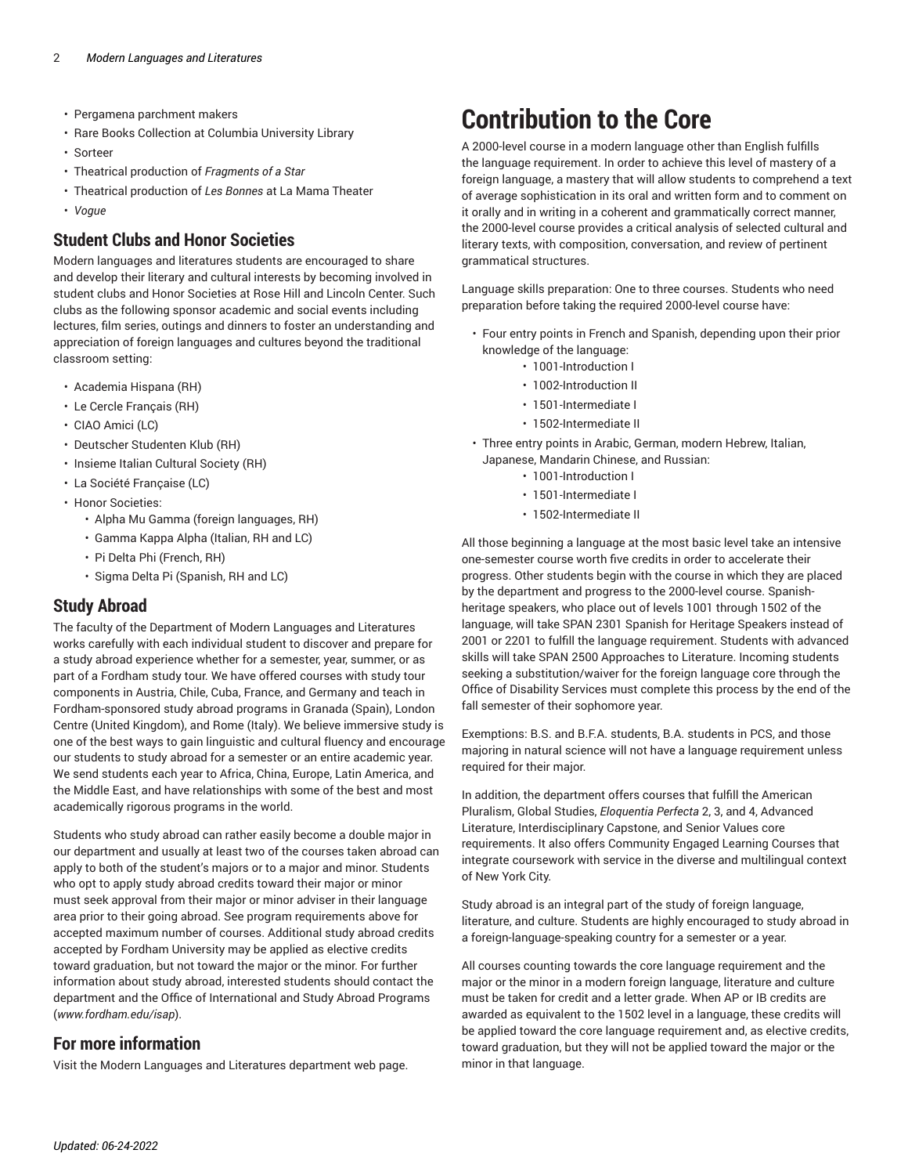- Pergamena parchment makers
- Rare Books Collection at Columbia University Library
- Sorteer
- Theatrical production of *Fragments of a Star*
- Theatrical production of *Les Bonnes* at La Mama Theater
- *Vogue*

#### **Student Clubs and Honor Societies**

Modern languages and literatures students are encouraged to share and develop their literary and cultural interests by becoming involved in student clubs and Honor Societies at Rose Hill and Lincoln Center. Such clubs as the following sponsor academic and social events including lectures, film series, outings and dinners to foster an understanding and appreciation of foreign languages and cultures beyond the traditional classroom setting:

- Academia Hispana (RH)
- Le Cercle Français (RH)
- CIAO Amici (LC)
- Deutscher Studenten Klub (RH)
- Insieme Italian Cultural Society (RH)
- La Société Française (LC)
- Honor Societies:
	- Alpha Mu Gamma (foreign languages, RH)
	- Gamma Kappa Alpha (Italian, RH and LC)
	- Pi Delta Phi (French, RH)
	- Sigma Delta Pi (Spanish, RH and LC)

#### **Study Abroad**

The faculty of the Department of Modern Languages and Literatures works carefully with each individual student to discover and prepare for a study abroad experience whether for a semester, year, summer, or as part of a Fordham study tour. We have offered courses with study tour components in Austria, Chile, Cuba, France, and Germany and teach in Fordham-sponsored study abroad programs in Granada (Spain), London Centre (United Kingdom), and Rome (Italy). We believe immersive study is one of the best ways to gain linguistic and cultural fluency and encourage our students to study abroad for a semester or an entire academic year. We send students each year to Africa, China, Europe, Latin America, and the Middle East, and have relationships with some of the best and most academically rigorous programs in the world.

Students who study abroad can rather easily become a double major in our department and usually at least two of the courses taken abroad can apply to both of the student's majors or to a major and minor. Students who opt to apply study abroad credits toward their major or minor must seek approval from their major or minor adviser in their language area prior to their going abroad. See program requirements above for accepted maximum number of courses. Additional study abroad credits accepted by Fordham University may be applied as elective credits toward graduation, but not toward the major or the minor. For further information about study abroad, interested students should contact the department and the Office of International and Study Abroad Programs (*www.fordham.edu/isap*).

#### **For more information**

Visit the Modern Languages and Literatures [department](https://www.fordham.edu/mll/) web page.

### **Contribution to the Core**

A 2000-level course in a modern language other than English fulfills the language requirement. In order to achieve this level of mastery of a foreign language, a mastery that will allow students to comprehend a text of average sophistication in its oral and written form and to comment on it orally and in writing in a coherent and grammatically correct manner, the 2000-level course provides a critical analysis of selected cultural and literary texts, with composition, conversation, and review of pertinent grammatical structures.

Language skills preparation: One to three courses. Students who need preparation before taking the required 2000-level course have:

- Four entry points in French and Spanish, depending upon their prior knowledge of the language:
	- 1001-Introduction I
	- 1002-Introduction II
	- 1501-Intermediate I
	- 1502-Intermediate II
- Three entry points in Arabic, German, modern Hebrew, Italian,
- Japanese, Mandarin Chinese, and Russian:
	- 1001-Introduction I
	- 1501-Intermediate I
	- 1502-Intermediate II

All those beginning a language at the most basic level take an intensive one-semester course worth five credits in order to accelerate their progress. Other students begin with the course in which they are placed by the department and progress to the 2000-level course. Spanishheritage speakers, who place out of levels 1001 through 1502 of the language, will take SPAN 2301 Spanish for Heritage Speakers instead of 2001 or 2201 to fulfill the language requirement. Students with advanced skills will take SPAN 2500 Approaches to Literature. Incoming students seeking a substitution/waiver for the foreign language core through the Office of Disability Services must complete this process by the end of the fall semester of their sophomore year.

Exemptions: B.S. and B.F.A. students, B.A. students in PCS, and those majoring in natural science will not have a language requirement unless required for their major.

In addition, the department offers courses that fulfill the American Pluralism, Global Studies, *Eloquentia Perfecta* 2, 3, and 4, Advanced Literature, Interdisciplinary Capstone, and Senior Values core requirements. It also offers Community Engaged Learning Courses that integrate coursework with service in the diverse and multilingual context of New York City.

Study abroad is an integral part of the study of foreign language, literature, and culture. Students are highly encouraged to study abroad in a foreign-language-speaking country for a semester or a year.

All courses counting towards the core language requirement and the major or the minor in a modern foreign language, literature and culture must be taken for credit and a letter grade. When AP or IB credits are awarded as equivalent to the 1502 level in a language, these credits will be applied toward the core language requirement and, as elective credits, toward graduation, but they will not be applied toward the major or the minor in that language.